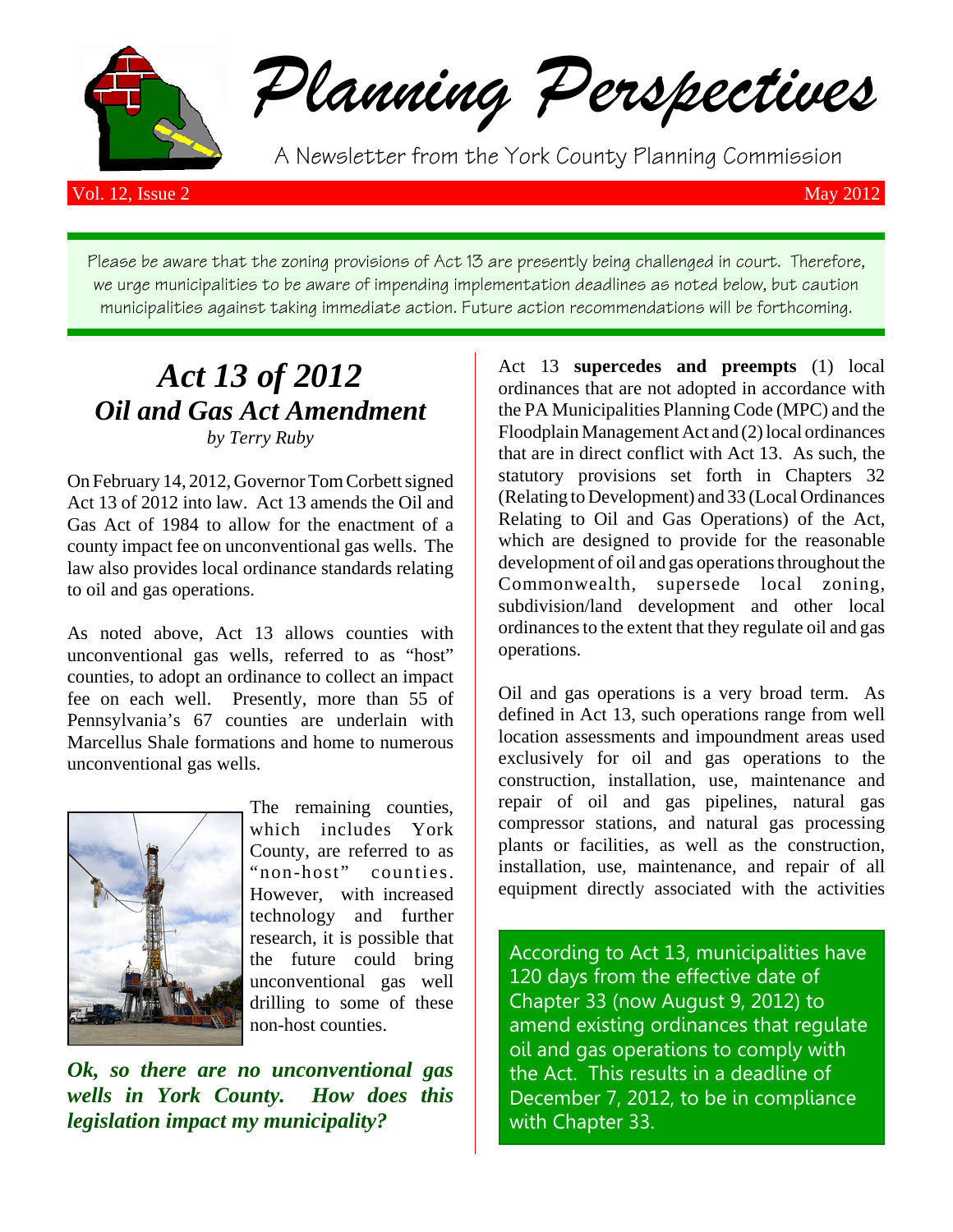

*Planning Perspectives*

A Newsletter from the York County Planning Commission

Vol. 12, Issue 2 May 2012

Please be aware that the zoning provisions of Act 13 are presently being challenged in court. Therefore, we urge municipalities to be aware of impending implementation deadlines as noted below, but caution municipalities against taking immediate action. Future action recommendations will be forthcoming.

# *Act 13 of 2012 Oil and Gas Act Amendment by Terry Ruby*

On February 14, 2012, Governor Tom Corbett signed Act 13 of 2012 into law. Act 13 amends the Oil and Gas Act of 1984 to allow for the enactment of a county impact fee on unconventional gas wells. The law also provides local ordinance standards relating to oil and gas operations.

As noted above, Act 13 allows counties with unconventional gas wells, referred to as "host" counties, to adopt an ordinance to collect an impact fee on each well. Presently, more than 55 of Pennsylvania's 67 counties are underlain with Marcellus Shale formations and home to numerous unconventional gas wells.



The remaining counties, which includes York County, are referred to as "non-host" counties. However, with increased technology and further research, it is possible that the future could bring unconventional gas well drilling to some of these non-host counties.

*Ok, so there are no unconventional gas wells in York County. How does this legislation impact my municipality?*

Act 13 **supercedes and preempts** (1) local ordinances that are not adopted in accordance with the PA Municipalities Planning Code (MPC) and the Floodplain Management Act and (2) local ordinances that are in direct conflict with Act 13. As such, the statutory provisions set forth in Chapters 32 (Relating to Development) and 33 (Local Ordinances Relating to Oil and Gas Operations) of the Act, which are designed to provide for the reasonable development of oil and gas operations throughout the Commonwealth, supersede local zoning, subdivision/land development and other local ordinances to the extent that they regulate oil and gas operations.

Oil and gas operations is a very broad term. As defined in Act 13, such operations range from well location assessments and impoundment areas used exclusively for oil and gas operations to the construction, installation, use, maintenance and repair of oil and gas pipelines, natural gas compressor stations, and natural gas processing plants or facilities, as well as the construction, installation, use, maintenance, and repair of all equipment directly associated with the activities

According to Act 13, municipalities have 120 days from the effective date of Chapter 33 (now August 9, 2012) to amend existing ordinances that regulate oil and gas operations to comply with the Act. This results in a deadline of December 7, 2012, to be in compliance with Chapter 33.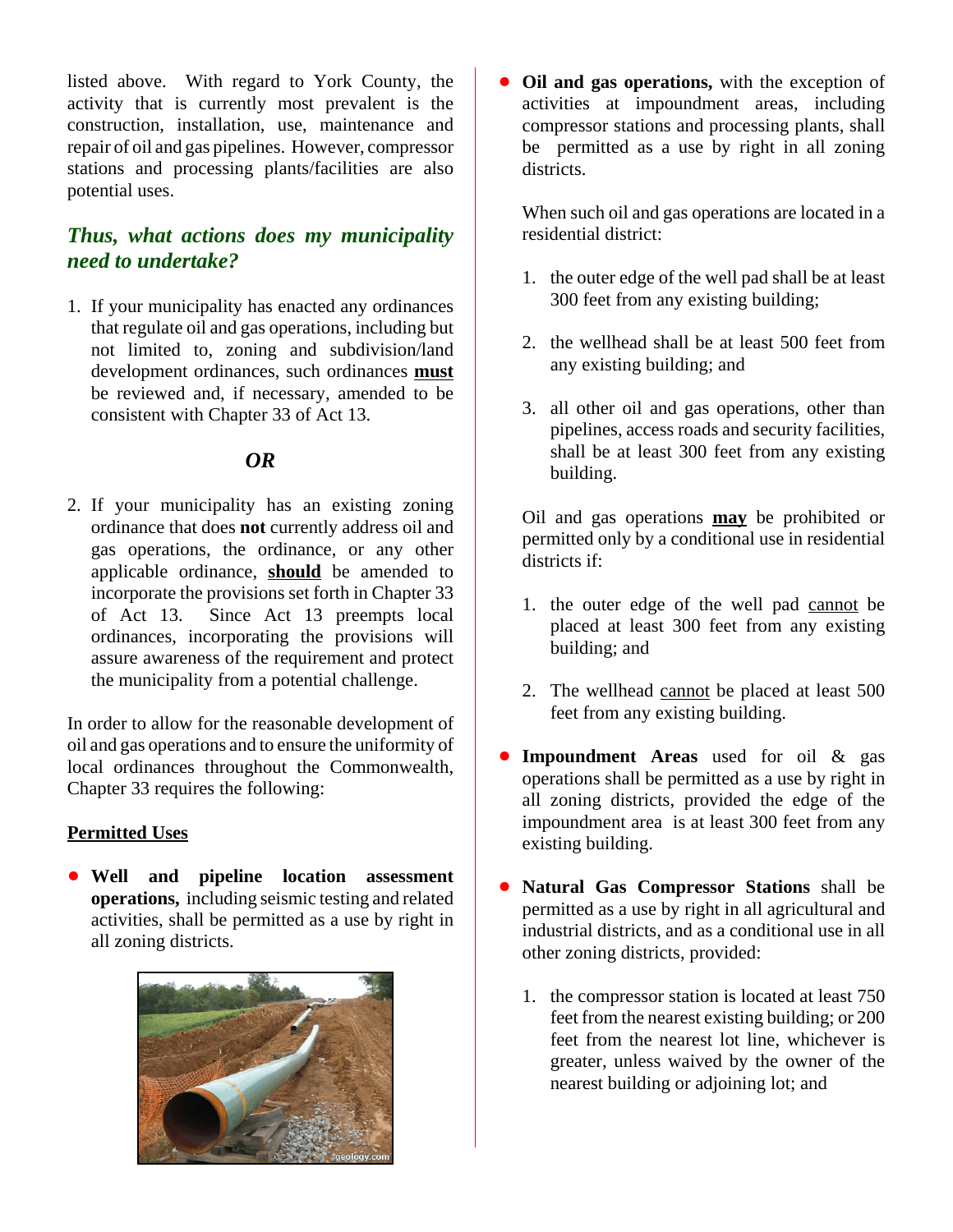listed above. With regard to York County, the activity that is currently most prevalent is the construction, installation, use, maintenance and repair of oil and gas pipelines. However, compressor stations and processing plants/facilities are also potential uses.

## *Thus, what actions does my municipality need to undertake?*

1. If your municipality has enacted any ordinances that regulate oil and gas operations, including but not limited to, zoning and subdivision/land development ordinances, such ordinances **must** be reviewed and, if necessary, amended to be consistent with Chapter 33 of Act 13.

### *OR*

2. If your municipality has an existing zoning ordinance that does **not** currently address oil and gas operations, the ordinance, or any other applicable ordinance, **should** be amended to incorporate the provisions set forth in Chapter 33 of Act 13. Since Act 13 preempts local ordinances, incorporating the provisions will assure awareness of the requirement and protect the municipality from a potential challenge.

In order to allow for the reasonable development of oil and gas operations and to ensure the uniformity of local ordinances throughout the Commonwealth, Chapter 33 requires the following:

#### **Permitted Uses**

! **Well and pipeline location assessment operations,** including seismic testing and related activities, shall be permitted as a use by right in all zoning districts.



**Oil and gas operations,** with the exception of activities at impoundment areas, including compressor stations and processing plants, shall be permitted as a use by right in all zoning districts.

When such oil and gas operations are located in a residential district:

- 1. the outer edge of the well pad shall be at least 300 feet from any existing building;
- 2. the wellhead shall be at least 500 feet from any existing building; and
- 3. all other oil and gas operations, other than pipelines, access roads and security facilities, shall be at least 300 feet from any existing building.

Oil and gas operations **may** be prohibited or permitted only by a conditional use in residential districts if:

- 1. the outer edge of the well pad cannot be placed at least 300 feet from any existing building; and
- 2. The wellhead cannot be placed at least 500 feet from any existing building.
- **Impoundment Areas** used for oil & gas operations shall be permitted as a use by right in all zoning districts, provided the edge of the impoundment area is at least 300 feet from any existing building.
- ! **Natural Gas Compressor Stations** shall be permitted as a use by right in all agricultural and industrial districts, and as a conditional use in all other zoning districts, provided:
	- 1. the compressor station is located at least 750 feet from the nearest existing building; or 200 feet from the nearest lot line, whichever is greater, unless waived by the owner of the nearest building or adjoining lot; and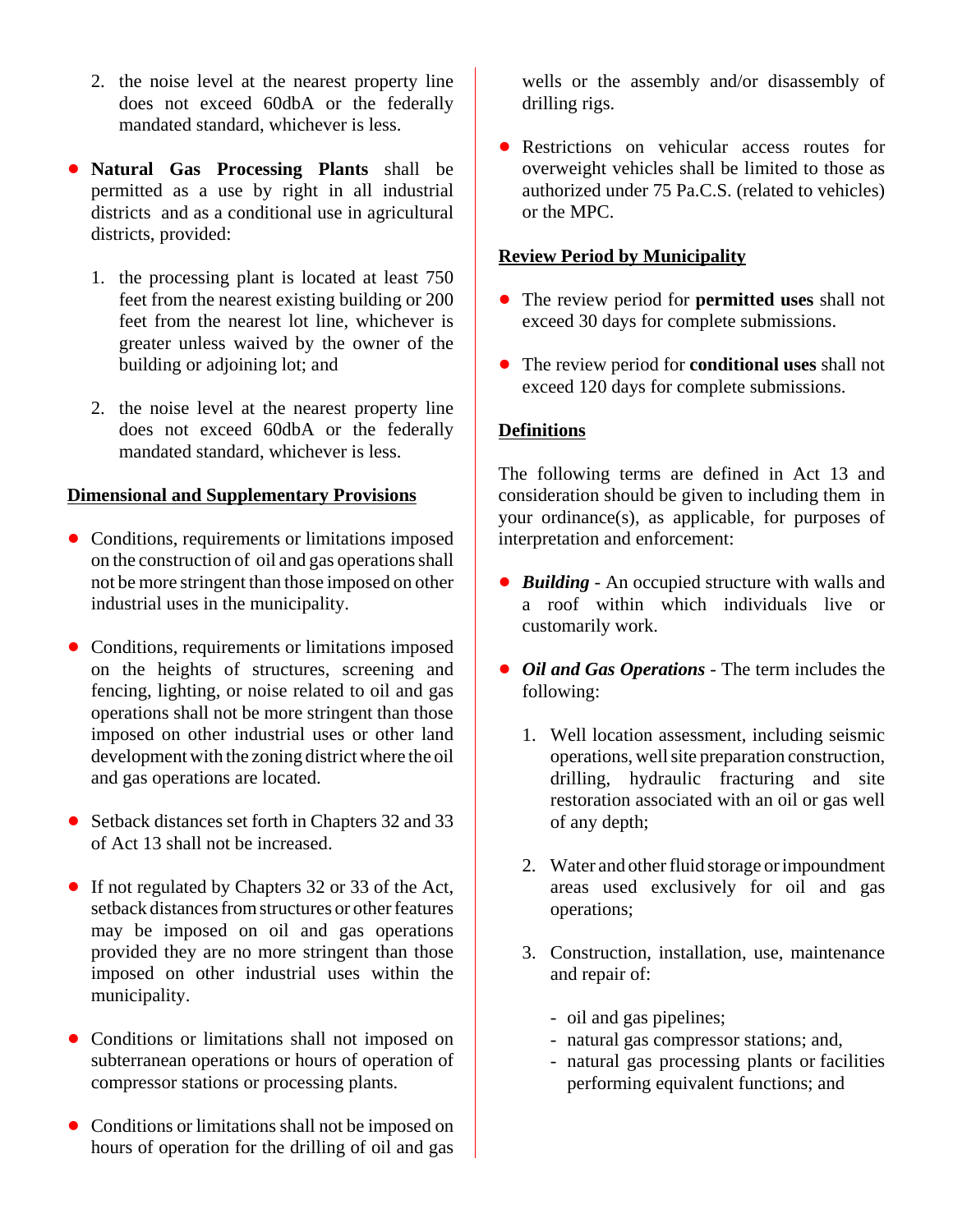- 2. the noise level at the nearest property line does not exceed 60dbA or the federally mandated standard, whichever is less.
- ! **Natural Gas Processing Plants** shall be permitted as a use by right in all industrial districts and as a conditional use in agricultural districts, provided:
	- 1. the processing plant is located at least 750 feet from the nearest existing building or 200 feet from the nearest lot line, whichever is greater unless waived by the owner of the building or adjoining lot; and
	- 2. the noise level at the nearest property line does not exceed 60dbA or the federally mandated standard, whichever is less.

#### **Dimensional and Supplementary Provisions**

- Conditions, requirements or limitations imposed on the construction of oil and gas operations shall not be more stringent than those imposed on other industrial uses in the municipality.
- Conditions, requirements or limitations imposed on the heights of structures, screening and fencing, lighting, or noise related to oil and gas operations shall not be more stringent than those imposed on other industrial uses or other land development with the zoning district where the oil and gas operations are located.
- Setback distances set forth in Chapters 32 and 33 of Act 13 shall not be increased.
- ! If not regulated by Chapters 32 or 33 of the Act, setback distances from structures or other features may be imposed on oil and gas operations provided they are no more stringent than those imposed on other industrial uses within the municipality.
- Conditions or limitations shall not imposed on subterranean operations or hours of operation of compressor stations or processing plants.
- Conditions or limitations shall not be imposed on hours of operation for the drilling of oil and gas

wells or the assembly and/or disassembly of drilling rigs.

• Restrictions on vehicular access routes for overweight vehicles shall be limited to those as authorized under 75 Pa.C.S. (related to vehicles) or the MPC.

#### **Review Period by Municipality**

- ! The review period for **permitted uses** shall not exceed 30 days for complete submissions.
- ! The review period for **conditional uses** shall not exceed 120 days for complete submissions.

#### **Definitions**

The following terms are defined in Act 13 and consideration should be given to including them in your ordinance(s), as applicable, for purposes of interpretation and enforcement:

- ! *Building*  An occupied structure with walls and a roof within which individuals live or customarily work.
- ! *Oil and Gas Operations* The term includes the following:
	- 1. Well location assessment, including seismic operations, well site preparation construction, drilling, hydraulic fracturing and site restoration associated with an oil or gas well of any depth;
	- 2. Water and other fluid storage or impoundment areas used exclusively for oil and gas operations;
	- 3. Construction, installation, use, maintenance and repair of:
		- oil and gas pipelines;
		- natural gas compressor stations; and,
		- natural gas processing plants or facilities performing equivalent functions; and